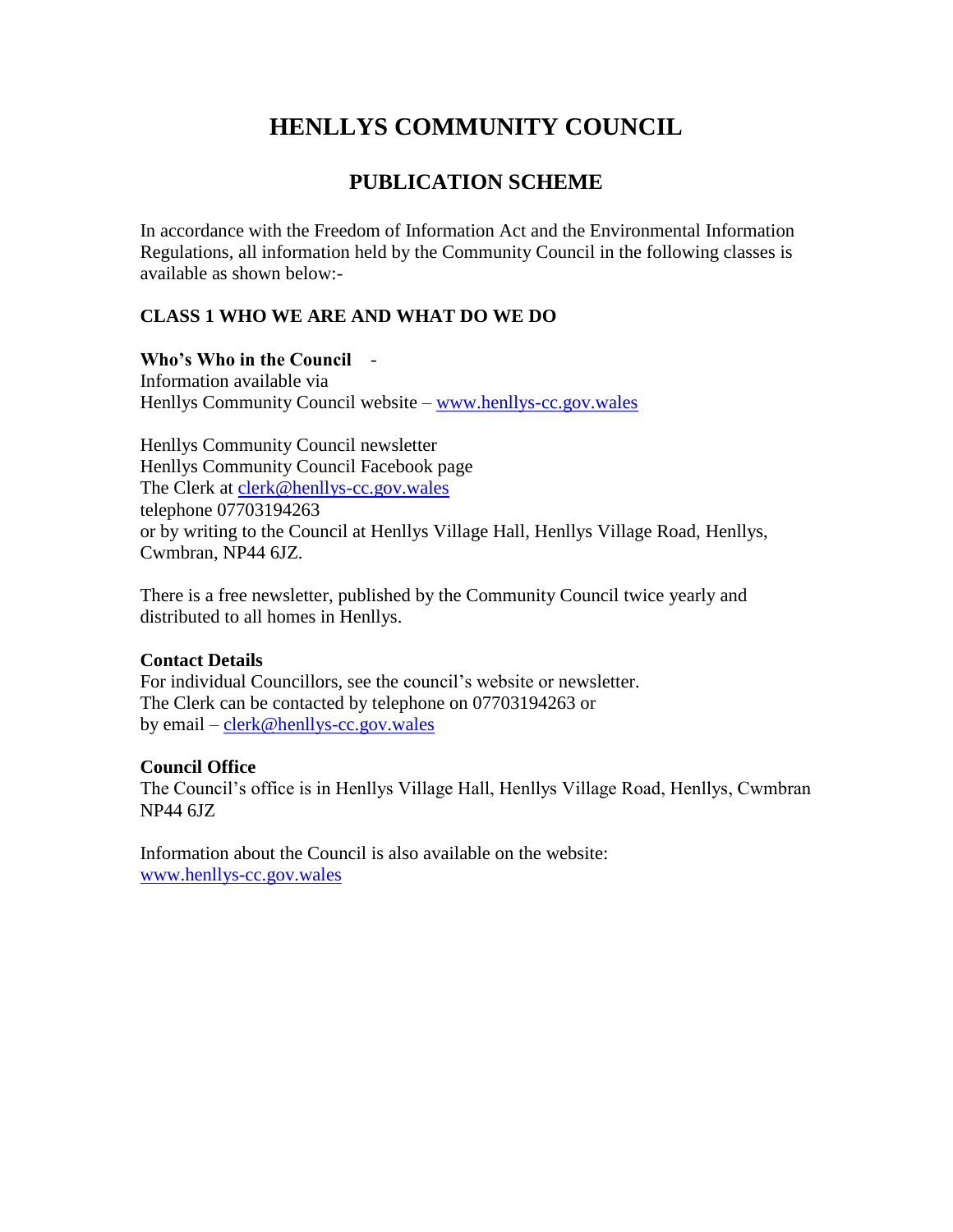# **HENLLYS COMMUNITY COUNCIL**

## **PUBLICATION SCHEME**

In accordance with the Freedom of Information Act and the Environmental Information Regulations, all information held by the Community Council in the following classes is available as shown below:-

## **CLASS 1 WHO WE ARE AND WHAT DO WE DO**

**Who's Who in the Council** *-*  Information available via Henllys Community Council website – [www.henllys-cc.gov.wales](http://www.henllys-cc.gov.wales/)

Henllys Community Council newsletter Henllys Community Council Facebook page The Clerk at [clerk@henllys-cc.gov.wales](mailto:clerk@henllys-cc.gov.wales) telephone 07703194263 or by writing to the Council at Henllys Village Hall, Henllys Village Road, Henllys, Cwmbran, NP44 6JZ.

There is a free newsletter, published by the Community Council twice yearly and distributed to all homes in Henllys.

## **Contact Details**

For individual Councillors, see the council's website or newsletter. The Clerk can be contacted by telephone on 07703194263 or by email – [clerk@henllys-cc.gov.wales](mailto:clerk@henllys-cc.gov.wales)

## **Council Office**

The Council's office is in Henllys Village Hall, Henllys Village Road, Henllys, Cwmbran NP44 6JZ

Information about the Council is also available on the website: [www.henllys-cc.gov.wales](http://www.henllys-cc.gov.wales/)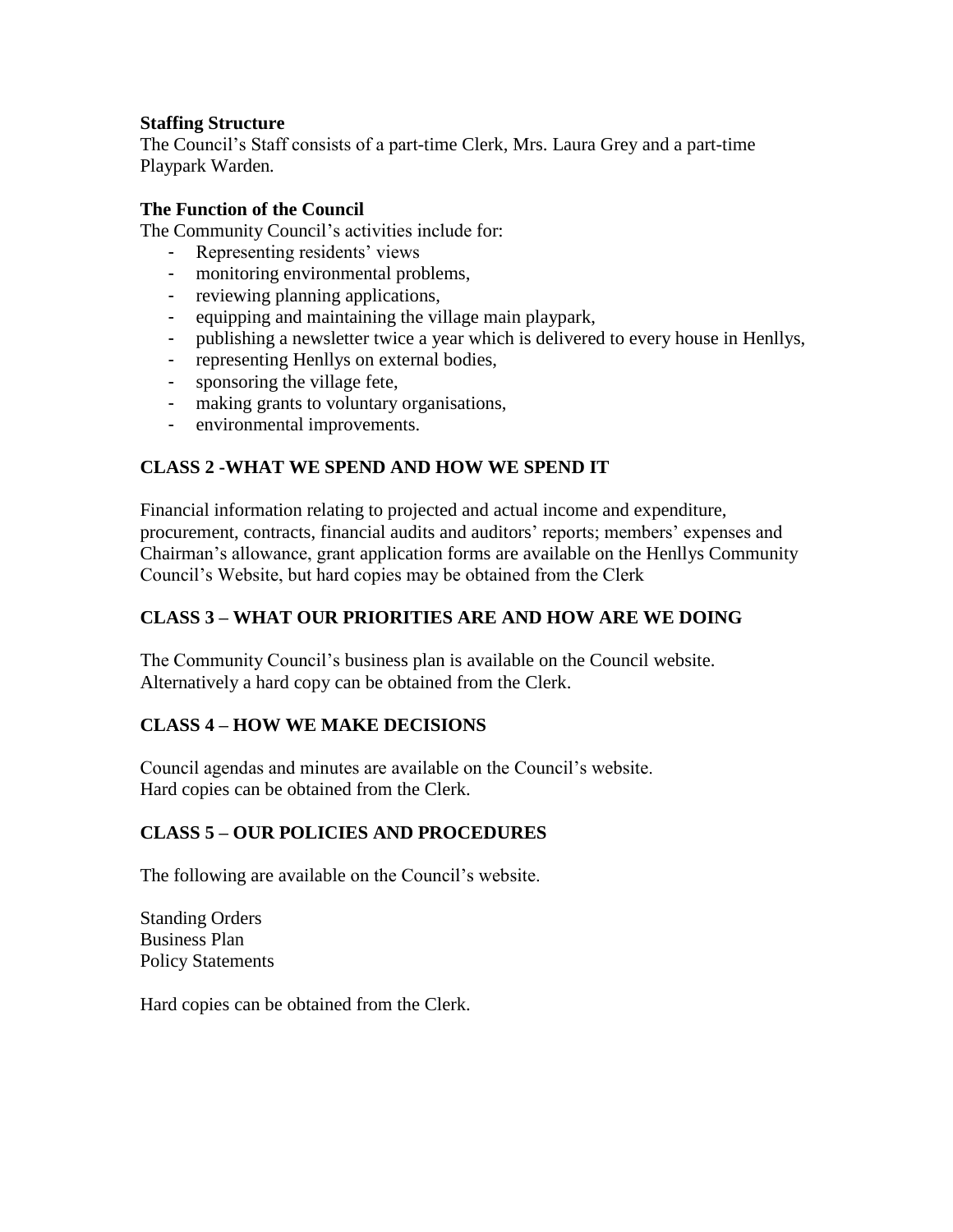#### **Staffing Structure**

The Council's Staff consists of a part-time Clerk, Mrs. Laura Grey and a part-time Playpark Warden*.*

#### **The Function of the Council**

The Community Council's activities include for:

- Representing residents' views
- monitoring environmental problems,
- reviewing planning applications,
- equipping and maintaining the village main playpark,
- publishing a newsletter twice a year which is delivered to every house in Henllys,
- representing Henllys on external bodies,
- sponsoring the village fete,
- making grants to voluntary organisations,
- environmental improvements.

## **CLASS 2 -WHAT WE SPEND AND HOW WE SPEND IT**

Financial information relating to projected and actual income and expenditure, procurement, contracts, financial audits and auditors' reports; members' expenses and Chairman's allowance, grant application forms are available on the Henllys Community Council's Website, but hard copies may be obtained from the Clerk

## **CLASS 3 – WHAT OUR PRIORITIES ARE AND HOW ARE WE DOING**

The Community Council's business plan is available on the Council website. Alternatively a hard copy can be obtained from the Clerk.

## **CLASS 4 – HOW WE MAKE DECISIONS**

Council agendas and minutes are available on the Council's website. Hard copies can be obtained from the Clerk.

## **CLASS 5 – OUR POLICIES AND PROCEDURES**

The following are available on the Council's website.

Standing Orders Business Plan Policy Statements

Hard copies can be obtained from the Clerk.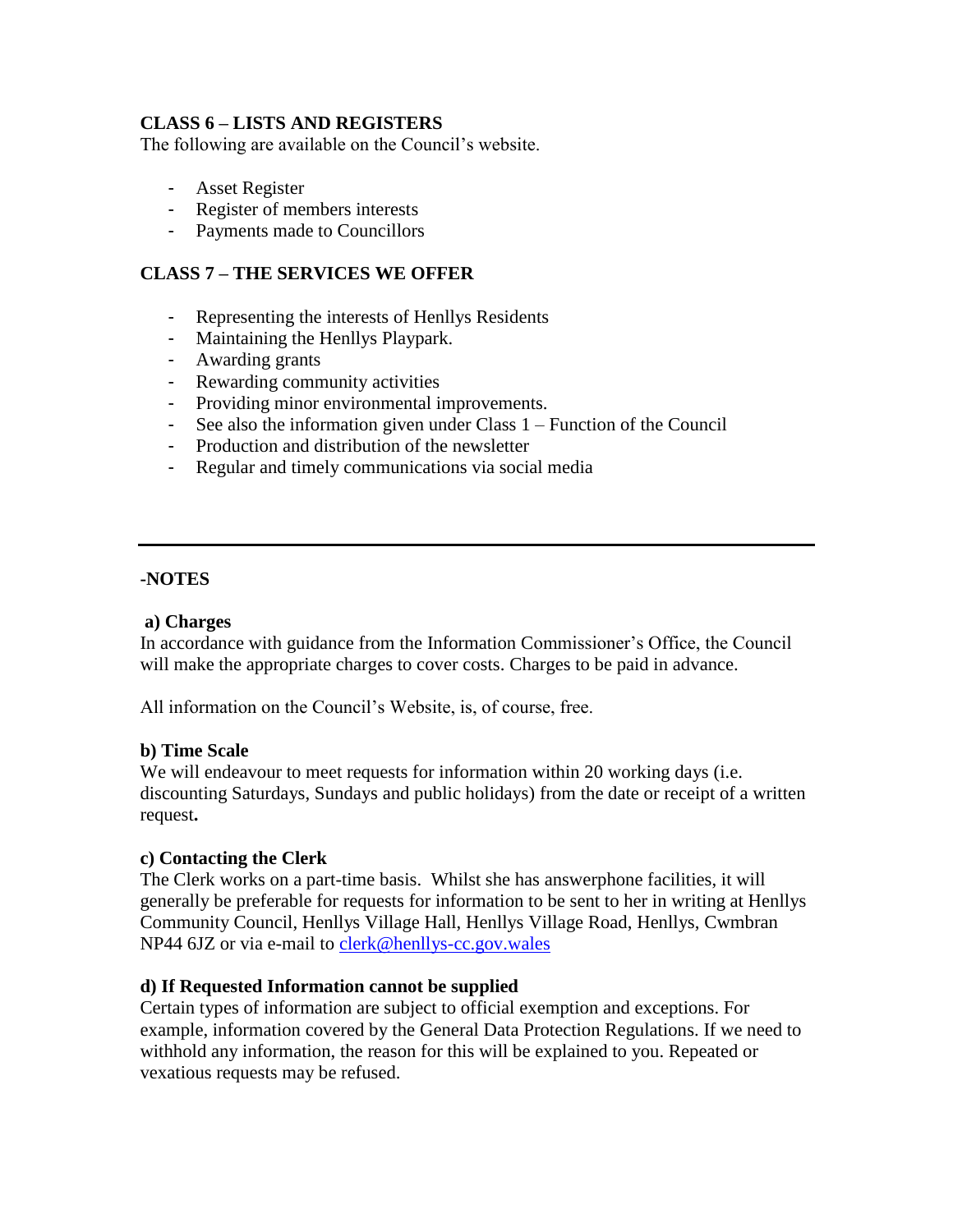#### **CLASS 6 – LISTS AND REGISTERS**

The following are available on the Council's website.

- Asset Register
- Register of members interests
- Payments made to Councillors

## **CLASS 7 – THE SERVICES WE OFFER**

- Representing the interests of Henllys Residents
- Maintaining the Henllys Playpark.
- Awarding grants
- Rewarding community activities
- Providing minor environmental improvements.
- See also the information given under Class 1 Function of the Council
- Production and distribution of the newsletter
- Regular and timely communications via social media

#### **-NOTES**

#### **a) Charges**

In accordance with guidance from the Information Commissioner's Office, the Council will make the appropriate charges to cover costs. Charges to be paid in advance.

All information on the Council's Website, is, of course, free.

#### **b) Time Scale**

We will endeavour to meet requests for information within 20 working days (i.e. discounting Saturdays, Sundays and public holidays) from the date or receipt of a written request**.**

#### **c) Contacting the Clerk**

The Clerk works on a part-time basis. Whilst she has answerphone facilities, it will generally be preferable for requests for information to be sent to her in writing at Henllys Community Council, Henllys Village Hall, Henllys Village Road, Henllys, Cwmbran NP44 6JZ or via e-mail to [clerk@henllys-cc.gov.wales](mailto:clerk@henllys-cc.gov.wales)

#### **d) If Requested Information cannot be supplied**

Certain types of information are subject to official exemption and exceptions. For example, information covered by the General Data Protection Regulations. If we need to withhold any information, the reason for this will be explained to you. Repeated or vexatious requests may be refused.